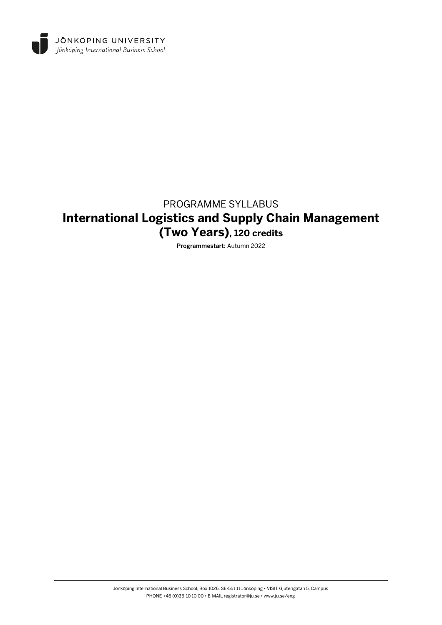

# PROGRAMME SYLLABUS **International Logistics and Supply Chain Management (Two Years), 120 credits**

Programmestart: Autumn 2022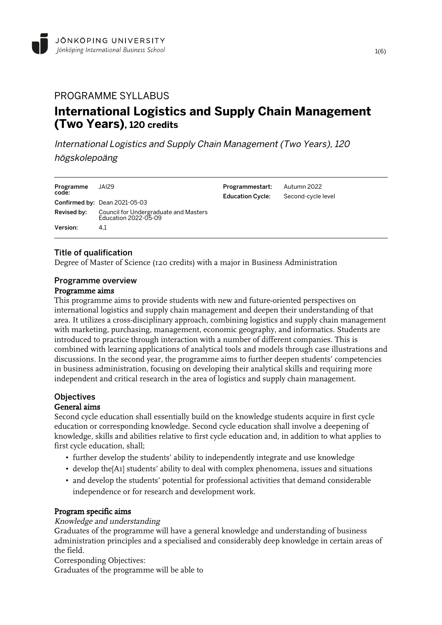## PROGRAMME SYLLABUS **International Logistics and Supply Chain Management (Two Years), 120 credits**

International Logistics and Supply Chain Management (Two Years), 120 högskolepoäng

| Programme<br>code:            | JAI29                                                         | Programmestart:<br><b>Education Cycle:</b> | Autumn 2022<br>Second-cycle level |
|-------------------------------|---------------------------------------------------------------|--------------------------------------------|-----------------------------------|
| Confirmed by: Dean 2021-05-03 |                                                               |                                            |                                   |
| Revised by:                   | Council for Undergraduate and Masters<br>Education 2022-05-09 |                                            |                                   |
| Version:                      | 4.1                                                           |                                            |                                   |

## Title of qualification

Degree of Master of Science (120 credits) with a major in Business Administration

## Programme overview

#### Programme aims

This programme aims to provide students with new and future-oriented perspectives on international logistics and supply chain management and deepen their understanding of that area. It utilizes a cross-disciplinary approach, combining logistics and supply chain management with marketing, purchasing, management, economic geography, and informatics. Students are introduced to practice through interaction with a number of different companies. This is combined with learning applications of analytical tools and models through case illustrations and discussions. In the second year, the programme aims to further deepen students' competencies in business administration, focusing on developing their analytical skills and requiring more independent and critical research in the area of logistics and supply chain management.

## **Objectives**

#### General aims

Second cycle education shall essentially build on the knowledge students acquire in first cycle education or corresponding knowledge. Second cycle education shall involve a deepening of knowledge, skills and abilities relative to first cycle education and, in addition to what applies to first cycle education, shall;

- further develop the students' ability to independently integrate and use knowledge
- develop the[A1] students' ability to deal with complex phenomena, issues and situations
- and develop the students' potential for professional activities that demand considerable independence or for research and development work.

#### Program specific aims

#### Knowledge and understanding

Graduates of the programme will have a general knowledge and understanding of business administration principles and a specialised and considerably deep knowledge in certain areas of the field.

Corresponding Objectives:

Graduates of the programme will be able to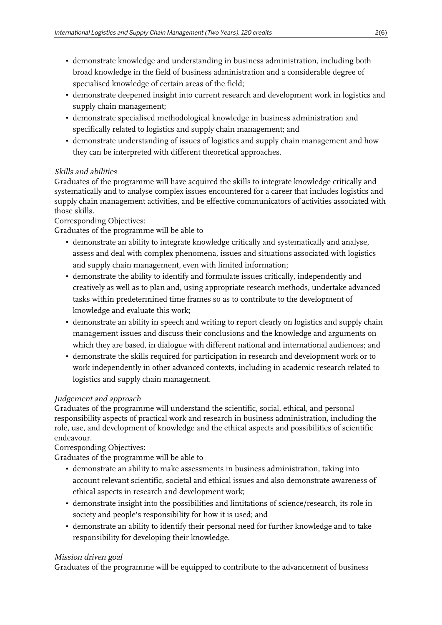- demonstrate knowledge and understanding in business administration, including both broad knowledge in the field of business administration and a considerable degree of specialised knowledge of certain areas of the field;
- demonstrate deepened insight into current research and development work in logistics and supply chain management;
- demonstrate specialised methodological knowledge in business administration and specifically related to logistics and supply chain management; and
- demonstrate understanding of issues of logistics and supply chain management and how they can be interpreted with different theoretical approaches.

## Skills and abilities

Graduates of the programme will have acquired the skills to integrate knowledge critically and systematically and to analyse complex issues encountered for a career that includes logistics and supply chain management activities, and be effective communicators of activities associated with those skills.

Corresponding Objectives:

Graduates of the programme will be able to

- demonstrate an ability to integrate knowledge critically and systematically and analyse, assess and deal with complex phenomena, issues and situations associated with logistics and supply chain management, even with limited information;
- demonstrate the ability to identify and formulate issues critically, independently and creatively as well as to plan and, using appropriate research methods, undertake advanced tasks within predetermined time frames so as to contribute to the development of knowledge and evaluate this work;
- demonstrate an ability in speech and writing to report clearly on logistics and supply chain management issues and discuss their conclusions and the knowledge and arguments on which they are based, in dialogue with different national and international audiences; and
- demonstrate the skills required for participation in research and development work or to work independently in other advanced contexts, including in academic research related to logistics and supply chain management.

## Judgement and approach

Graduates of the programme will understand the scientific, social, ethical, and personal responsibility aspects of practical work and research in business administration, including the role, use, and development of knowledge and the ethical aspects and possibilities of scientific endeavour.

Corresponding Objectives:

Graduates of the programme will be able to

- demonstrate an ability to make assessments in business administration, taking into account relevant scientific, societal and ethical issues and also demonstrate awareness of ethical aspects in research and development work;
- demonstrate insight into the possibilities and limitations of science/research, its role in society and people's responsibility for how it is used; and
- demonstrate an ability to identify their personal need for further knowledge and to take responsibility for developing their knowledge.

#### Mission driven goal

Graduates of the programme will be equipped to contribute to the advancement of business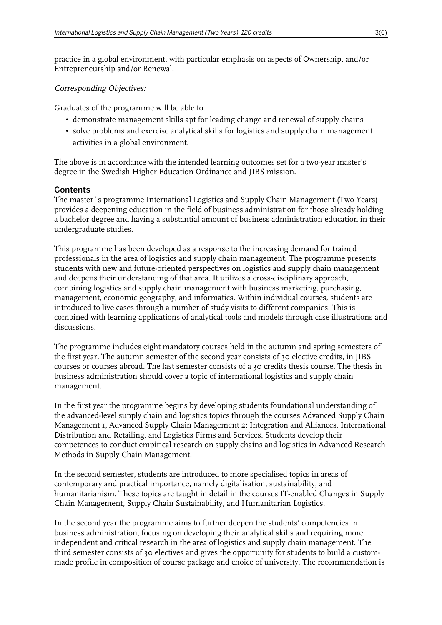practice in a global environment, with particular emphasis on aspects of Ownership, and/or Entrepreneurship and/or Renewal.

#### Corresponding Objectives:

Graduates of the programme will be able to:

- demonstrate management skills apt for leading change and renewal of supply chains
- solve problems and exercise analytical skills for logistics and supply chain management activities in a global environment.

The above is in accordance with the intended learning outcomes set for a two-year master's degree in the Swedish Higher Education Ordinance and JIBS mission.

#### **Contents**

The master´s programme International Logistics and Supply Chain Management (Two Years) provides a deepening education in the field of business administration for those already holding a bachelor degree and having a substantial amount of business administration education in their undergraduate studies.

This programme has been developed as a response to the increasing demand for trained professionals in the area of logistics and supply chain management. The programme presents students with new and future-oriented perspectives on logistics and supply chain management and deepens their understanding of that area. It utilizes a cross-disciplinary approach, combining logistics and supply chain management with business marketing, purchasing, management, economic geography, and informatics. Within individual courses, students are introduced to live cases through a number of study visits to different companies. This is combined with learning applications of analytical tools and models through case illustrations and discussions.

The programme includes eight mandatory courses held in the autumn and spring semesters of the first year. The autumn semester of the second year consists of 30 elective credits, in JIBS courses or courses abroad. The last semester consists of a 30 credits thesis course. The thesis in business administration should cover a topic of international logistics and supply chain management.

In the first year the programme begins by developing students foundational understanding of the advanced-level supply chain and logistics topics through the courses Advanced Supply Chain Management 1, Advanced Supply Chain Management 2: Integration and Alliances, International Distribution and Retailing, and Logistics Firms and Services. Students develop their competences to conduct empirical research on supply chains and logistics in Advanced Research Methods in Supply Chain Management.

In the second semester, students are introduced to more specialised topics in areas of contemporary and practical importance, namely digitalisation, sustainability, and humanitarianism. These topics are taught in detail in the courses IT-enabled Changes in Supply Chain Management, Supply Chain Sustainability, and Humanitarian Logistics.

In the second year the programme aims to further deepen the students' competencies in business administration, focusing on developing their analytical skills and requiring more independent and critical research in the area of logistics and supply chain management. The third semester consists of 30 electives and gives the opportunity for students to build a custommade profile in composition of course package and choice of university. The recommendation is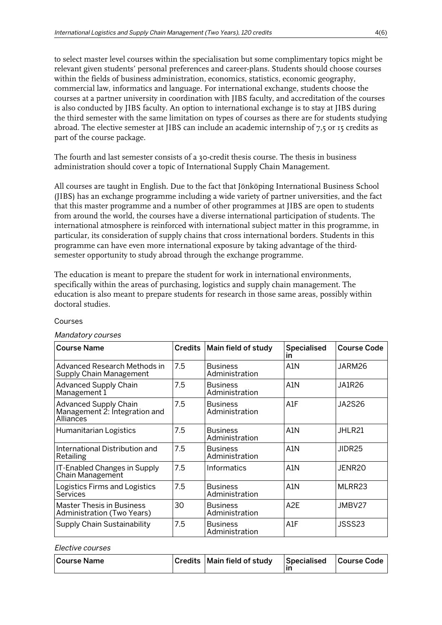to select master level courses within the specialisation but some complimentary topics might be relevant given students' personal preferences and career-plans. Students should choose courses within the fields of business administration, economics, statistics, economic geography, commercial law, informatics and language. For international exchange, students choose the courses at a partner university in coordination with JIBS faculty, and accreditation of the courses is also conducted by JIBS faculty. An option to international exchange is to stay at JIBS during the third semester with the same limitation on types of courses as there are for students studying abroad. The elective semester at JIBS can include an academic internship of 7,5 or 15 credits as part of the course package.

The fourth and last semester consists of a 30-credit thesis course. The thesis in business administration should cover a topic of International Supply Chain Management.

All courses are taught in English. Due to the fact that Jönköping International Business School (JIBS) has an exchange programme including a wide variety of partner universities, and the fact that this master programme and a number of other programmes at JIBS are open to students from around the world, the courses have a diverse international participation of students. The international atmosphere is reinforced with international subject matter in this programme, in particular, its consideration of supply chains that cross international borders. Students in this programme can have even more international exposure by taking advantage of the thirdsemester opportunity to study abroad through the exchange programme.

The education is meant to prepare the student for work in international environments, specifically within the areas of purchasing, logistics and supply chain management. The education is also meant to prepare students for research in those same areas, possibly within doctoral studies.

#### Courses

| <b>Course Name</b>                                                                | Credits | Main field of study               | <b>Specialised</b><br>in | <b>Course Code</b> |
|-----------------------------------------------------------------------------------|---------|-----------------------------------|--------------------------|--------------------|
| Advanced Research Methods in<br>Supply Chain Management                           | 7.5     | <b>Business</b><br>Administration | A <sub>1</sub> N         | JARM26             |
| <b>Advanced Supply Chain</b><br>Management 1                                      | 7.5     | <b>Business</b><br>Administration | A <sub>1</sub> N         | <b>JA1R26</b>      |
| <b>Advanced Supply Chain</b><br>Management 2: Integration and<br><b>Alliances</b> | 7.5     | <b>Business</b><br>Administration | A1F                      | <b>JA2S26</b>      |
| Humanitarian Logistics                                                            | 7.5     | <b>Business</b><br>Administration | A1N                      | JHLR21             |
| International Distribution and<br>Retailing                                       | 7.5     | <b>Business</b><br>Administration | A <sub>1</sub> N         | JIDR <sub>25</sub> |
| IT-Enabled Changes in Supply<br>Chain Management                                  | 7.5     | Informatics                       | A <sub>1</sub> N         | JENR <sub>20</sub> |
| Logistics Firms and Logistics<br>Services                                         | 7.5     | <b>Business</b><br>Administration | A <sub>1</sub> N         | MLRR23             |
| <b>Master Thesis in Business</b><br>Administration (Two Years)                    | 30      | <b>Business</b><br>Administration | A <sub>2</sub> E         | JMBV27             |
| Supply Chain Sustainability                                                       | 7.5     | <b>Business</b><br>Administration | A1F                      | JSSS23             |

#### Mandatory courses

| Course Name | Credits   Main field of study | Specialised Course Code |  |
|-------------|-------------------------------|-------------------------|--|
|             |                               |                         |  |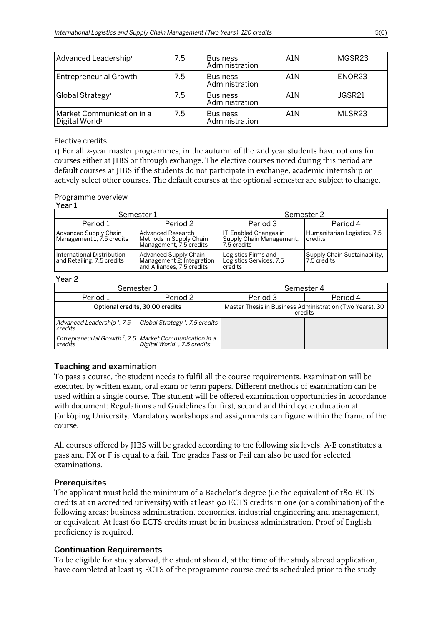| Advanced Leadership <sup>1</sup>                        | 7.5 | <b>Business</b><br>Administration | A1N | MGSR23   |
|---------------------------------------------------------|-----|-----------------------------------|-----|----------|
| Entrepreneurial Growth <sup>1</sup>                     | 7.5 | <b>Business</b><br>Administration | A1N | ENOR23   |
| Global Strategy <sup>1</sup>                            | 7.5 | <b>Business</b><br>Administration | A1N | l JGSR21 |
| Market Communication in a<br>Digital World <sup>1</sup> | 7.5 | <b>Business</b><br>Administration | A1N | MLSR23   |

#### Elective credits

1) For all 2-year master programmes, in the autumn of the 2nd year students have options for courses either at JIBS or through exchange. The elective courses noted during this period are default courses at JIBS if the students do not participate in exchange, academic internship or actively select other courses. The default courses at the optional semester are subject to change.

#### Programme overview

#### Year 1

|                                                           | Semester 1                                                                              | Semester 2                                                       |                                               |  |
|-----------------------------------------------------------|-----------------------------------------------------------------------------------------|------------------------------------------------------------------|-----------------------------------------------|--|
| Period 1                                                  | Period 2                                                                                | Period 3                                                         | Period 4                                      |  |
| <b>Advanced Supply Chain</b><br>Management 1, 7.5 credits | <b>Advanced Research</b><br>Methods in Supply Chain<br>Management, 7.5 credits          | IT-Enabled Changes in<br>Supply Chain Management,<br>7.5 credits | Humanitarian Logistics, 7.5<br><b>credits</b> |  |
| International Distribution<br>and Retailing, 7.5 credits  | <b>Advanced Supply Chain</b><br>Management 2: Integration<br>and Alliances, 7.5 credits | Logistics Firms and<br>Logistics Services, 7.5<br>credits        | Supply Chain Sustainability,<br>l 7.5 credits |  |

#### Year 2

|                                                                                | Semester 3                                 | Semester 4                                                          |          |  |
|--------------------------------------------------------------------------------|--------------------------------------------|---------------------------------------------------------------------|----------|--|
| Period 1                                                                       | Period 2                                   | Period 3                                                            | Period 4 |  |
|                                                                                | Optional credits, 30,00 credits            | Master Thesis in Business Administration (Two Years), 30<br>credits |          |  |
| Advanced Leadership <sup>1</sup> , 7.5<br>credits                              | Global Strategy <sup>1</sup> , 7.5 credits |                                                                     |          |  |
| Entrepreneurial Growth <sup>1</sup> , 7.5 Market Communication in a<br>credits | Digital World <sup>1</sup> , 7.5 credits   |                                                                     |          |  |

#### Teaching and examination

To pass a course, the student needs to fulfil all the course requirements. Examination will be executed by written exam, oral exam or term papers. Different methods of examination can be used within a single course. The student will be offered examination opportunities in accordance with document: Regulations and Guidelines for first, second and third cycle education at Jönköping University. Mandatory workshops and assignments can figure within the frame of the course.

All courses offered by JIBS will be graded according to the following six levels: A-E constitutes a pass and FX or F is equal to a fail. The grades Pass or Fail can also be used for selected examinations.

#### **Prerequisites**

The applicant must hold the minimum of a Bachelor's degree (i.e the equivalent of 180 ECTS credits at an accredited university) with at least 90 ECTS credits in one (or a combination) of the following areas: business administration, economics, industrial engineering and management, or equivalent. At least 60 ECTS credits must be in business administration. Proof of English proficiency is required.

#### Continuation Requirements

To be eligible for study abroad, the student should, at the time of the study abroad application, have completed at least 15 ECTS of the programme course credits scheduled prior to the study